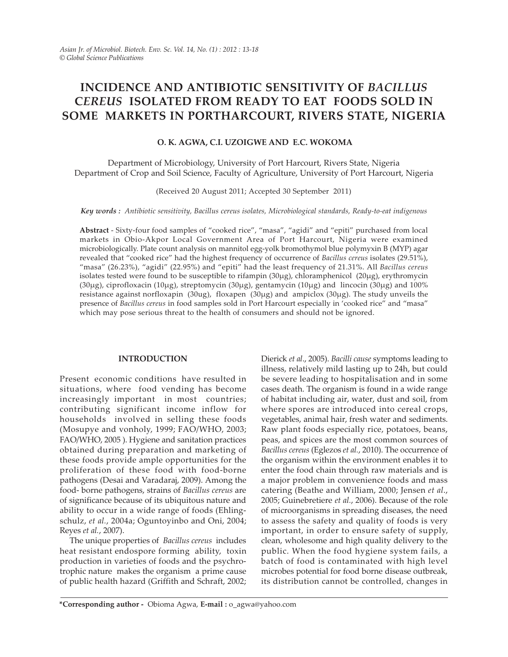# INCIDENCE AND ANTIBIOTIC SENSITIVITY OF BACILLUS CEREUS ISOLATED FROM READY TO EAT FOODS SOLD IN SOME MARKETS IN PORTHARCOURT, RIVERS STATE, NIGERIA

# O. K. AGWA, C.I. UZOIGWE AND E.C. WOKOMA

Department of Microbiology, University of Port Harcourt, Rivers State, Nigeria Department of Crop and Soil Science, Faculty of Agriculture, University of Port Harcourt, Nigeria

(Received 20 August 2011; Accepted 30 September 2011)

Key words : Antibiotic sensitivity, Bacillus cereus isolates, Microbiological standards, Ready-to-eat indigenous

Abstract - Sixty-four food samples of "cooked rice", "masa", "agidi" and "epiti" purchased from local markets in Obio-Akpor Local Government Area of Port Harcourt, Nigeria were examined microbiologically. Plate count analysis on mannitol egg-yolk bromothymol blue polymyxin B (MYP) agar revealed that "cooked rice" had the highest frequency of occurrence of Bacillus cereus isolates (29.51%), "masa" (26.23%), "agidi" (22.95%) and "epiti" had the least frequency of 21.31%. All Bacillus cereus isolates tested were found to be susceptible to rifampin (30µg), chloramphenicol (20µg), erythromycin (30µg), ciprofloxacin (10µg), streptomycin (30µg), gentamycin (10µg) and lincocin (30µg) and 100% resistance against norfloxapin (30ug), floxapen (30µg) and ampiclox (30µg). The study unveils the presence of Bacillus cereus in food samples sold in Port Harcourt especially in 'cooked rice" and "masa" which may pose serious threat to the health of consumers and should not be ignored.

# INTRODUCTION

Present economic conditions have resulted in situations, where food vending has become increasingly important in most countries; contributing significant income inflow for households involved in selling these foods (Mosupye and vonholy, 1999; FAO/WHO, 2003; FAO/WHO, 2005 ). Hygiene and sanitation practices obtained during preparation and marketing of these foods provide ample opportunities for the proliferation of these food with food-borne pathogens (Desai and Varadaraj, 2009). Among the food- borne pathogens, strains of Bacillus cereus are of significance because of its ubiquitous nature and ability to occur in a wide range of foods (Ehlingschulz, et al., 2004a; Oguntoyinbo and Oni, 2004; Reyes et al., 2007).

The unique properties of Bacillus cereus includes heat resistant endospore forming ability, toxin production in varieties of foods and the psychrotrophic nature makes the organism a prime cause of public health hazard (Griffith and Schraft, 2002;

Dierick et al., 2005). Bacilli cause symptoms leading to illness, relatively mild lasting up to 24h, but could be severe leading to hospitalisation and in some cases death. The organism is found in a wide range of habitat including air, water, dust and soil, from where spores are introduced into cereal crops, vegetables, animal hair, fresh water and sediments. Raw plant foods especially rice, potatoes, beans, peas, and spices are the most common sources of Bacillus cereus (Eglezos et al., 2010). The occurrence of the organism within the environment enables it to enter the food chain through raw materials and is a major problem in convenience foods and mass catering (Beathe and William, 2000; Jensen et al., 2005; Guinebretiere et al., 2006). Because of the role of microorganisms in spreading diseases, the need to assess the safety and quality of foods is very important, in order to ensure safety of supply, clean, wholesome and high quality delivery to the public. When the food hygiene system fails, a batch of food is contaminated with high level microbes potential for food borne disease outbreak, its distribution cannot be controlled, changes in

<sup>\*</sup>Corresponding author - Obioma Agwa, E-mail : o\_agwa@yahoo.com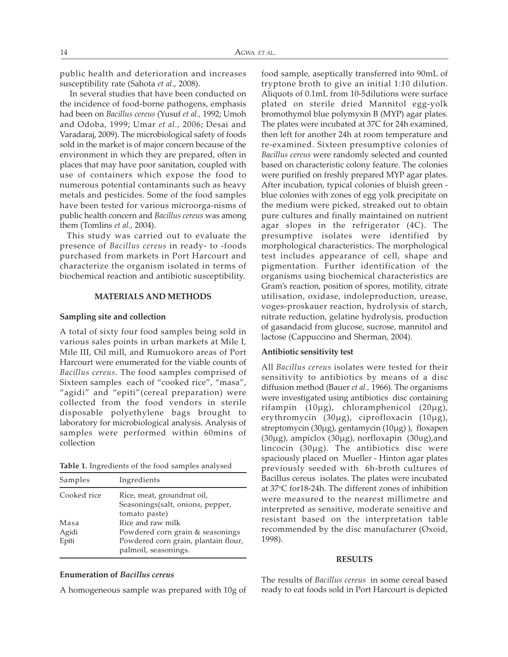public health and deterioration and increases susceptibility rate (Sahota et al., 2008).

In several studies that have been conducted on the incidence of food-borne pathogens, emphasis had been on Bacillus cereus (Yusuf et al., 1992; Umoh and Odoba, 1999; Umar et al., 2006; Desai and Varadaraj, 2009). The microbiological safety of foods sold in the market is of major concern because of the environment in which they are prepared, often in places that may have poor sanitation, coupled with use of containers which expose the food to numerous potential contaminants such as heavy metals and pesticides. Some of the food samples have been tested for various microorga-nisms of public health concern and Bacillus cereus was among them (Tomlins et al., 2004).

 This study was carried out to evaluate the presence of Bacillus cereus in ready- to -foods purchased from markets in Port Harcourt and characterize the organism isolated in terms of biochemical reaction and antibiotic susceptibility.

# MATERIALS AND METHODS

#### Sampling site and collection

A total of sixty four food samples being sold in various sales points in urban markets at Mile I, Mile III, Oil mill, and Rumuokoro areas of Port Harcourt were enumerated for the viable counts of Bacillus cereus. The food samples comprised of Sixteen samples each of "cooked rice", "masa", "agidi" and "epiti"(cereal preparation) were collected from the food vendors in sterile disposable polyethylene bags brought to laboratory for microbiological analysis. Analysis of samples were performed within 60mins of collection

|  |  | <b>Table 1.</b> Ingredients of the food samples analysed |  |  |  |  |  |  |  |  |
|--|--|----------------------------------------------------------|--|--|--|--|--|--|--|--|
|--|--|----------------------------------------------------------|--|--|--|--|--|--|--|--|

| Samples     | Ingredients                                                    |  |  |
|-------------|----------------------------------------------------------------|--|--|
| Cooked rice | Rice, meat, groundnut oil,<br>Seasonings(salt, onions, pepper, |  |  |
|             | tomato paste)                                                  |  |  |
| Masa        | Rice and raw milk                                              |  |  |
| Agidi       | Powdered corn grain & seasonings                               |  |  |
| Epiti       | Powdered corn grain, plantain flour,<br>palmoil, seasonings.   |  |  |
|             |                                                                |  |  |

#### Enumeration of Bacillus cereus

A homogeneous sample was prepared with 10g of

food sample, aseptically transferred into 90mL of tryptone broth to give an initial 1:10 dilution. Aliquots of 0.1mL from 10-5dilutions were surface plated on sterile dried Mannitol egg-yolk bromothymol blue polymyxin B (MYP) agar plates. The plates were incubated at 37C for 24h examined, then left for another 24h at room temperature and re-examined. Sixteen presumptive colonies of Bacillus cereus were randomly selected and counted based on characteristic colony feature. The colonies were purified on freshly prepared MYP agar plates. After incubation, typical colonies of bluish green blue colonies with zones of egg yolk precipitate on the medium were picked, streaked out to obtain pure cultures and finally maintained on nutrient agar slopes in the refrigerator (4C). The presumptive isolates were identified by morphological characteristics. The morphological test includes appearance of cell, shape and pigmentation. Further identification of the organisms using biochemical characteristics are Gram's reaction, position of spores, motility, citrate utilisation, oxidase, indoleproduction, urease, voges-proskauer reaction, hydrolysis of starch, nitrate reduction, gelatine hydrolysis, production of gasandacid from glucose, sucrose, mannitol and lactose (Cappuccino and Sherman, 2004).

### Antibiotic sensitivity test

All Bacillus cereus isolates were tested for their sensitivity to antibiotics by means of a disc diffusion method (Bauer et al., 1966). The organisms were investigated using antibiotics disc containing rifampin (10µg), chloramphenicol (20µg), erythromycin (30µg), ciprofloxacin (10µg), streptomycin (30µg), gentamycin (10µg) ), floxapen (30µg), ampiclox (30µg), norfloxapin (30ug),and lincocin (30µg). The antibiotics disc were spaciously placed on Mueller - Hinton agar plates previously seeded with 6h-broth cultures of Bacillus cereus isolates. The plates were incubated at 37*<sup>o</sup>* C for18-24h. The different zones of inhibition were measured to the nearest millimetre and interpreted as sensitive, moderate sensitive and resistant based on the interpretation table recommended by the disc manufacturer (Oxoid, 1998).

#### RESULTS

The results of Bacillus cereus in some cereal based ready to eat foods sold in Port Harcourt is depicted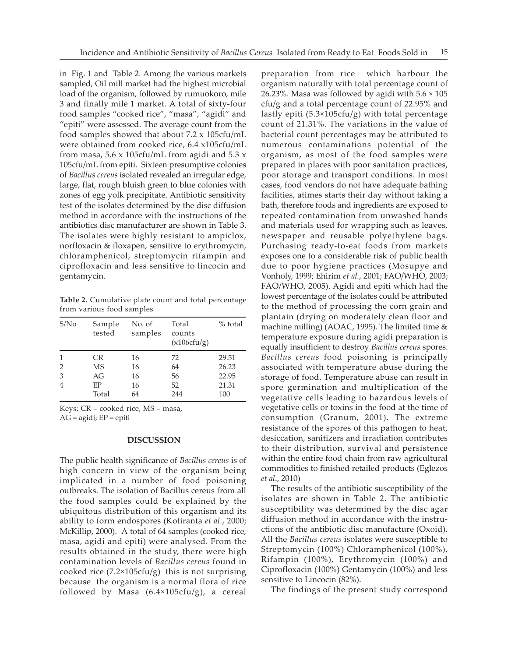in Fig. 1 and Table 2. Among the various markets sampled, Oil mill market had the highest microbial load of the organism, followed by rumuokoro, mile 3 and finally mile 1 market. A total of sixty-four food samples "cooked rice", "masa", "agidi" and "epiti" were assessed. The average count from the food samples showed that about 7.2 x 105cfu/mL were obtained from cooked rice, 6.4 x105cfu/mL from masa,  $5.6 \times 105$ cfu/mL from agidi and  $5.3 \times$ 105cfu/mL from epiti. Sixteen presumptive colonies of Bacillus cereus isolated revealed an irregular edge, large, flat, rough bluish green to blue colonies with zones of egg yolk precipitate. Antibiotic sensitivity test of the isolates determined by the disc diffusion method in accordance with the instructions of the antibiotics disc manufacturer are shown in Table 3. The isolates were highly resistant to ampiclox, norfloxacin & floxapen, sensitive to erythromycin, chloramphenicol, streptomycin rifampin and ciprofloxacin and less sensitive to lincocin and gentamycin.

Table 2. Cumulative plate count and total percentage from various food samples

| S/N <sub>0</sub> | Sample<br>tested | No. of<br>samples | Total<br>counts<br>(x106cfu/g) | $%$ total |
|------------------|------------------|-------------------|--------------------------------|-----------|
| $\mathbf{1}$     | CR.              | 16                | 72                             | 29.51     |
| $\overline{2}$   | <b>MS</b>        | 16                | 64                             | 26.23     |
| 3                | AG               | 16                | 56                             | 22.95     |
| $\overline{4}$   | FР               | 16                | 52                             | 21.31     |
|                  | Total            | 64                | 244                            | 100       |

Keys: CR = cooked rice, MS = masa, AG = agidi; EP = epiti

#### DISCUSSION

The public health significance of Bacillus cereus is of high concern in view of the organism being implicated in a number of food poisoning outbreaks. The isolation of Bacillus cereus from all the food samples could be explained by the ubiquitous distribution of this organism and its ability to form endospores (Kotiranta et al., 2000; McKillip, 2000). A total of 64 samples (cooked rice, masa, agidi and epiti) were analysed. From the results obtained in the study, there were high contamination levels of Bacillus cereus found in cooked rice  $(7.2 \times 105 \text{c}fu/g)$  this is not surprising because the organism is a normal flora of rice followed by Masa (6.4×105cfu/g), a cereal

preparation from rice which harbour the organism naturally with total percentage count of 26.23%. Masa was followed by agidi with  $5.6 \times 105$ cfu/g and a total percentage count of 22.95% and lastly epiti (5.3×105cfu/g) with total percentage count of 21.31%. The variations in the value of bacterial count percentages may be attributed to numerous contaminations potential of the organism, as most of the food samples were prepared in places with poor sanitation practices, poor storage and transport conditions. In most cases, food vendors do not have adequate bathing facilities, atimes starts their day without taking a bath, therefore foods and ingredients are exposed to repeated contamination from unwashed hands and materials used for wrapping such as leaves, newspaper and reusable polyethylene bags. Purchasing ready-to-eat foods from markets exposes one to a considerable risk of public health due to poor hygiene practices (Mosupye and Vonholy, 1999; Ehirim et al., 2001; FAO/WHO, 2003; FAO/WHO, 2005). Agidi and epiti which had the lowest percentage of the isolates could be attributed to the method of processing the corn grain and plantain (drying on moderately clean floor and machine milling) (AOAC, 1995). The limited time & temperature exposure during agidi preparation is equally insufficient to destroy Bacillus cereus spores. Bacillus cereus food poisoning is principally associated with temperature abuse during the storage of food. Temperature abuse can result in spore germination and multiplication of the vegetative cells leading to hazardous levels of vegetative cells or toxins in the food at the time of consumption (Granum, 2001). The extreme resistance of the spores of this pathogen to heat, desiccation, sanitizers and irradiation contributes to their distribution, survival and persistence within the entire food chain from raw agricultural commodities to finished retailed products (Eglezos et al., 2010)

The results of the antibiotic susceptibility of the isolates are shown in Table 2. The antibiotic susceptibility was determined by the disc agar diffusion method in accordance with the instructions of the antibiotic disc manufacture (Oxoid). All the Bacillus cereus isolates were susceptible to Streptomycin (100%) Chloramphenicol (100%), Rifampin (100%), Erythromycin (100%) and Ciprofloxacin (100%) Gentamycin (100%) and less sensitive to Lincocin (82%).

The findings of the present study correspond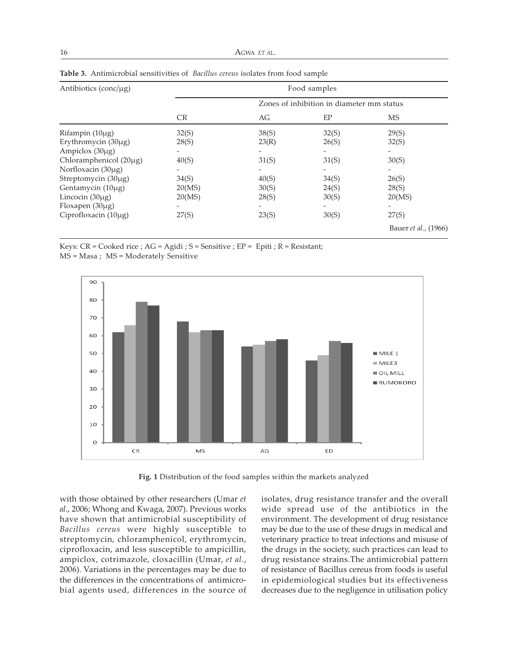| Antibiotics (conc/ $\mu$ g) | Food samples |                              |                                           |                              |  |  |
|-----------------------------|--------------|------------------------------|-------------------------------------------|------------------------------|--|--|
|                             |              |                              | Zones of inhibition in diameter mm status |                              |  |  |
|                             | CR.          | AG                           | EP                                        | MS                           |  |  |
| Rifampin (10µg)             | 32(S)        | 38(S)                        | 32(S)                                     | 29(S)                        |  |  |
| Erythromycin (30µg)         | 28(S)        | 23(R)                        | 26(S)                                     | 32(S)                        |  |  |
| Ampiclox (30µg)             |              | $\qquad \qquad \blacksquare$ |                                           |                              |  |  |
| Chloramphenicol (20µg)      | 40(S)        | 31(S)                        | 31(S)                                     | 30(S)                        |  |  |
| Norfloxacin (30µg)          |              |                              |                                           |                              |  |  |
| Streptomycin (30µg)         | 34(S)        | 40(S)                        | 34(S)                                     | 26(S)                        |  |  |
| Gentamycin (10µg)           | 20(MS)       | 30(S)                        | 24(S)                                     | 28(S)                        |  |  |
| Lincocin $(30\mu g)$        | 20(MS)       | 28(S)                        | 30(S)                                     | 20(MS)                       |  |  |
| Floxapen (30µg)             |              | -                            |                                           |                              |  |  |
| Ciprofloxacin $(10\mu g)$   | 27(S)        | 23(S)                        | 30(S)                                     | 27(S)                        |  |  |
|                             |              |                              |                                           | Bauer <i>et al.</i> , (1966) |  |  |

Keys:  $CR = C$ ooked rice ;  $AG = Agidi$ ;  $S = S$ ensitive ;  $EP = Epit$ ;  $R = Resistant$ ; MS = Masa ; MS = Moderately Sensitive



Fig. 1 Distribution of the food samples within the markets analyzed

with those obtained by other researchers (Umar et al., 2006; Whong and Kwaga, 2007). Previous works have shown that antimicrobial susceptibility of Bacillus cereus were highly susceptible to streptomycin, chloramphenicol, erythromycin, ciprofloxacin, and less susceptible to ampicillin, ampiclox, cotrimazole, cloxacillin (Umar, et al., 2006). Variations in the percentages may be due to the differences in the concentrations of antimicrobial agents used, differences in the source of isolates, drug resistance transfer and the overall wide spread use of the antibiotics in the environment. The development of drug resistance may be due to the use of these drugs in medical and veterinary practice to treat infections and misuse of the drugs in the society, such practices can lead to drug resistance strains.The antimicrobial pattern of resistance of Bacillus cereus from foods is useful in epidemiological studies but its effectiveness decreases due to the negligence in utilisation policy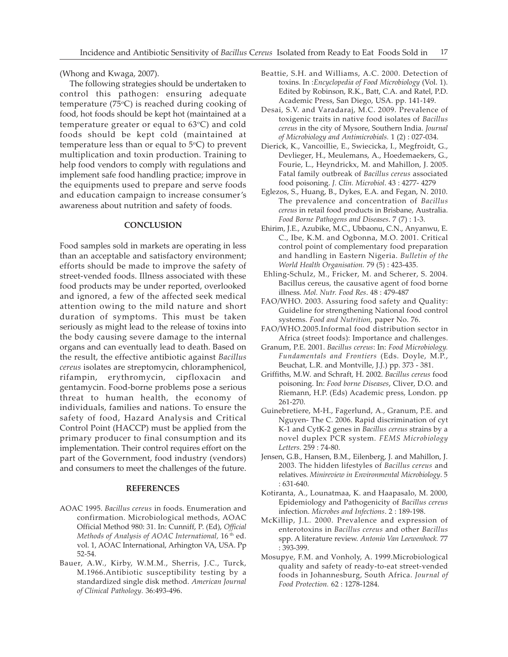(Whong and Kwaga, 2007).

The following strategies should be undertaken to control this pathogen: ensuring adequate temperature ( $75^{\circ}$ C) is reached during cooking of food, hot foods should be kept hot (maintained at a temperature greater or equal to  $63^{\circ}$ C) and cold foods should be kept cold (maintained at temperature less than or equal to  $5^{\circ}$ C) to prevent multiplication and toxin production. Training to help food vendors to comply with regulations and implement safe food handling practice; improve in the equipments used to prepare and serve foods and education campaign to increase consumer's awareness about nutrition and safety of foods.

## **CONCLUSION**

Food samples sold in markets are operating in less than an acceptable and satisfactory environment; efforts should be made to improve the safety of street-vended foods. Illness associated with these food products may be under reported, overlooked and ignored, a few of the affected seek medical attention owing to the mild nature and short duration of symptoms. This must be taken seriously as might lead to the release of toxins into the body causing severe damage to the internal organs and can eventually lead to death. Based on the result, the effective antibiotic against Bacillus cereus isolates are streptomycin, chloramphenicol, rifampin, erythromycin, cipfloxacin and gentamycin. Food-borne problems pose a serious threat to human health, the economy of individuals, families and nations. To ensure the safety of food, Hazard Analysis and Critical Control Point (HACCP) must be applied from the primary producer to final consumption and its implementation. Their control requires effort on the part of the Government, food industry (vendors) and consumers to meet the challenges of the future.

# REFERENCES

- AOAC 1995. Bacillus cereus in foods. Enumeration and confirmation. Microbiological methods, AOAC Official Method 980: 31. In: Cunniff, P. (Ed), Official Methods of Analysis of AOAC International,  $16<sup>th</sup>$  ed. vol. 1, AOAC International, Arhington VA, USA. Pp 52-54.
- Bauer, A.W., Kirby, W.M.M., Sherris, J.C., Turck, M.1966.Antibiotic susceptibility testing by a standardized single disk method. American Journal of Clinical Pathology. 36:493-496.
- Beattie, S.H. and Williams, A.C. 2000. Detection of toxins. In :Encyclopedia of Food Microbiology (Vol. 1). Edited by Robinson, R.K., Batt, C.A. and Ratel, P.D. Academic Press, San Diego, USA. pp. 141-149.
- Desai, S.V. and Varadaraj, M.C. 2009. Prevalence of toxigenic traits in native food isolates of Bacillus cereus in the city of Mysore, Southern India. Journal of Microbiology and Antimicrobials. 1 (2) : 027-034.
- Dierick, K., Vancoillie, E., Swiecicka, I., Megfroidt, G., Devlieger, H., Meulemans, A., Hoedemaekers, G., Fourie, L., Heyndrickx, M. and Mahillon, J. 2005. Fatal family outbreak of Bacillus cereus associated food poisoning. J. Clin. Microbiol. 43 : 4277- 4279
- Eglezos, S., Huang, B., Dykes, E.A. and Fegan, N. 2010. The prevalence and concentration of Bacillus cereus in retail food products in Brisbane, Australia. Food Borne Pathogens and Diseases. 7 (7) : 1-3.
- Ehirim, J.E., Azubike, M.C., Ubbaonu, C.N., Anyanwu, E. C., Ibe, K.M. and Ogbonna, M.O. 2001. Critical control point of complementary food preparation and handling in Eastern Nigeria. Bulletin of the World Health Organisation. 79 (5) : 423-435.
- Ehling-Schulz, M., Fricker, M. and Scherer, S. 2004. Bacillus cereus, the causative agent of food borne illness. Mol. Nutr. Food Res. 48 : 479-487
- FAO/WHO. 2003. Assuring food safety and Quality: Guideline for strengthening National food control systems. Food and Nutrition, paper No. 76.
- FAO/WHO.2005.Informal food distribution sector in Africa (street foods): Importance and challenges.
- Granum, P.E. 2001. Bacillus cereus: In: Food Microbiology. Fundamentals and Frontiers (Eds. Doyle, M.P., Beuchat, L.R. and Montville, J.J.) pp. 373 - 381.
- Griffiths, M.W. and Schraft, H. 2002. Bacillus cereus food poisoning. In: Food borne Diseases, Cliver, D.O. and Riemann, H.P. (Eds) Academic press, London. pp 261-270.
- Guinebretiere, M-H., Fagerlund, A., Granum, P.E. and Nguyen- The C. 2006. Rapid discrimination of cyt K-1 and CytK-2 genes in Bacillus cereus strains by a novel duplex PCR system. FEMS Microbiology Letters. 259 : 74-80.
- Jensen, G.B., Hansen, B.M., Eilenberg, J. and Mahillon, J. 2003. The hidden lifestyles of Bacillus cereus and relatives. Minireview in Environmental Microbiology. 5 : 631-640.
- Kotiranta, A., Lounatmaa, K. and Haapasalo, M. 2000, Epidemiology and Pathogenicity of Bacillus cereus infection. Microbes and Infections. 2 : 189-198.
- McKillip, J.L. 2000. Prevalence and expression of enterotoxins in Bacillus cereus and other Bacillus spp. A literature review. Antonio Van Leewenhock. 77 : 393-399.
- Mosupye, F.M. and Vonholy, A. 1999.Microbiological quality and safety of ready-to-eat street-vended foods in Johannesburg, South Africa. Journal of Food Protection. 62 : 1278-1284.